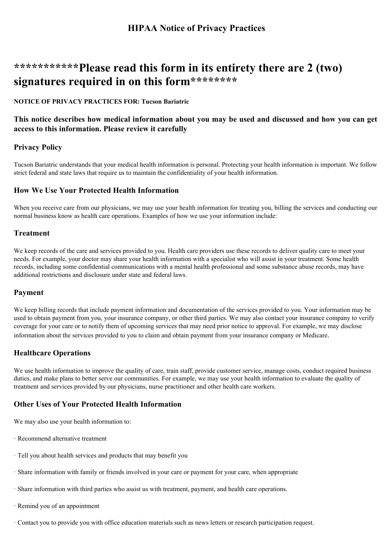# **\*\*\*\*\*\*\*\*\*\*\*Please read this form in its entirety there are 2 (two) signatures required in on this form\*\*\*\*\*\*\*\***

#### **NOTICE OF PRIVACY PRACTICES FOR: Tucson Bariatric**

### This notice describes how medical information about you may be used and discussed and how you can get **access to this information. Please review it carefully**

### **Privacy Policy**

Tucson Bariatric understands that your medical health information is personal. Protecting your health information is important. We follow strict federal and state laws that require us to maintain the confidentiality of your health information.

#### **How We Use Your Protected Health Information**

When you receive care from our physicians, we may use your health information for treating you, billing the services and conducting our normal business know as health care operations. Examples of how we use your information include:

#### **Treatment**

We keep records of the care and services provided to you. Health care providers use these records to deliver quality care to meet your needs. For example, your doctor may share your health information with a specialist who will assist in your treatment. Some health records, including some confidential communications with a mental health professional and some substance abuse records, may have additional restrictions and disclosure under state and federal laws.

#### **Payment**

We keep billing records that include payment information and documentation of the services provided to you. Your information may be used to obtain payment from you, your insurance company, or other third parties. We may also contact your insurance company to verify coverage for your care or to notify them of upcoming services that may need prior notice to approval. For example, we may disclose information about the services provided to you to claim and obtain payment from your insurance company or Medicare.

### **Healthcare Operations**

We use health information to improve the quality of care, train staff, provide customer service, manage costs, conduct required business duties, and make plans to better serve our communities. For example, we may use your health information to evaluate the quality of treatment and services provided by our physicians, nurse practitioner and other health care workers.

### **Other Uses of Your Protected Health Information**

We may also use your health information to:

- · Recommend alternative treatment
- · Tell you about health services and products that may benefit you
- · Share information with family or friends involved in your care or payment for your care, when appropriate
- · Share information with third parties who assist us with treatment, payment, and health care operations.
- · Remind you of an appointment
- · Contact you to provide you with office education materials such as news letters or research participation request.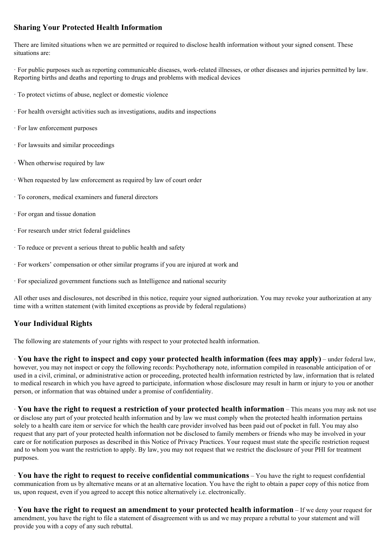### **Sharing Your Protected Health Information**

There are limited situations when we are permitted or required to disclose health information without your signed consent. These situations are:

· For public purposes such as reporting communicable diseases, work-related illnesses, or other diseases and injuries permitted by law. Reporting births and deaths and reporting to drugs and problems with medical devices

- · To protect victims of abuse, neglect or domestic violence
- · For health oversight activities such as investigations, audits and inspections
- · For law enforcement purposes
- · For lawsuits and similar proceedings
- · When otherwise required by law
- · When requested by law enforcement as required by law of court order
- · To coroners, medical examiners and funeral directors
- · For organ and tissue donation
- · For research under strict federal guidelines
- · To reduce or prevent a serious threat to public health and safety
- · For workers' compensation or other similar programs if you are injured at work and
- · For specialized government functions such as Intelligence and national security

All other uses and disclosures, not described in this notice, require your signed authorization. You may revoke your authorization at any time with a written statement (with limited exceptions as provide by federal regulations)

### **Your Individual Rights**

The following are statements of your rights with respect to your protected health information.

· **You have the right to inspect and copy your protected health information (fees may apply)** – under federal law, however, you may not inspect or copy the following records: Psychotherapy note, information compiled in reasonable anticipation of or used in a civil, criminal, or administrative action or proceeding, protected health information restricted by law, information that is related to medical research in which you have agreed to participate, information whose disclosure may result in harm or injury to you or another person, or information that was obtained under a promise of confidentiality.

· **You have the right to request a restriction of your protected health information** – This means you may ask not use or disclose any part of your protected health information and by law we must comply when the protected health information pertains solely to a health care item or service for which the health care provider involved has been paid out of pocket in full. You may also request that any part of your protected health information not be disclosed to family members or friends who may be involved in your care or for notification purposes as described in this Notice of Privacy Practices. Your request must state the specific restriction request and to whom you want the restriction to apply. By law, you may not request that we restrict the disclosure of your PHI for treatment purposes.

· **You have the right to request to receive confidential communications** – You have the right to request confidential communication from us by alternative means or at an alternative location. You have the right to obtain a paper copy of this notice from us, upon request, even if you agreed to accept this notice alternatively i.e. electronically.

· **You have the right to request an amendment to your protected health information** – If we deny your request for amendment, you have the right to file a statement of disagreement with us and we may prepare a rebuttal to your statement and will provide you with a copy of any such rebuttal.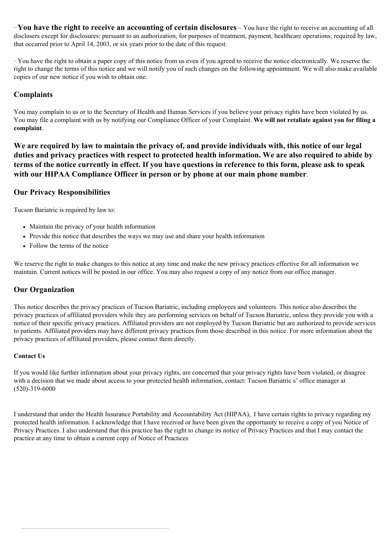· **You have the right to receive an accounting of certain disclosures** – You have the right to receive an accounting of all disclosers except for disclosures: pursuant to an authorization, for purposes of treatment, payment, healthcare operations; required by law, that occurred prior to April 14, 2003, or six years prior to the date of this request.

· You have the right to obtain a paper copy of this notice from us even if you agreed to receive the notice electronically. We reserve the right to change the terms of this notice and we will notify you of such changes on the following appointment. We will also make available copies of our new notice if you wish to obtain one.

### **Complaints**

You may complain to us or to the Secretary of Health and Human Services if you believe your privacy rights have been violated by us. You may file a complaint with us by notifying our Compliance Officer of your Complaint. **We will not retaliate against you for filing a complaint**.

**We are required by law to maintain the privacy of, and provide individuals with, this notice of our legal duties and privacy practices with respect to protected health information. We are also required to abide by terms of the notice currently in effect. If you have questions in reference to this form, please ask to speak with our HIPAA Compliance Officer in person or by phone at our main phone number**.

### **Our Privacy Responsibilities**

Tucson Bariatric is required by law to:

- Maintain the privacy of your health information
- Provide this notice that describes the ways we may use and share your health information
- Follow the terms of the notice

We reserve the right to make changes to this notice at any time and make the new privacy practices effective for all information we maintain. Current notices will be posted in our office. You may also request a copy of any notice from our office manager.

### **Our Organization**

This notice describes the privacy practices of Tucson Bariatric, including employees and volunteers. This notice also describes the privacy practices of affiliated providers while they are performing services on behalf of Tucson Bariatric, unless they provide you with a notice of their specific privacy practices. Affiliated providers are not employed by Tucson Bariatric but are authorized to provide services to patients. Affiliated providers may have different privacy practices from those described in this notice. For more information about the privacy practices of affiliated providers, please contact them directly.

#### **Contact Us**

If you would like further information about your privacy rights, are concerned that your privacy rights have been violated, or disagree with a decision that we made about access to your protected health information, contact: Tucson Bariatric s' office manager at (520)-319-6000

I understand that under the Health Insurance Portability and Accountability Act (HIPAA), I have certain rights to privacy regarding my protected health information. I acknowledge that I have received or have been given the opportunity to receive a copy of you Notice of Privacy Practices. I also understand that this practice has the right to change its notice of Privacy Practices and that I may contact the practice at any time to obtain a current copy of Notice of Practices